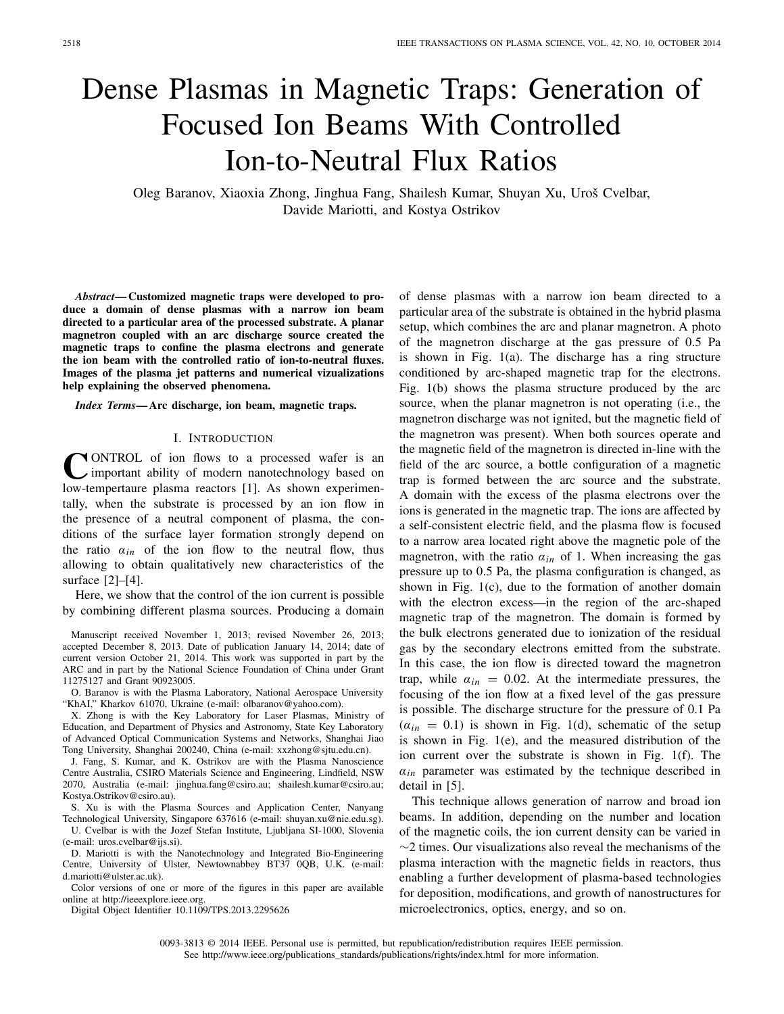## Dense Plasmas in Magnetic Traps: Generation of Focused Ion Beams With Controlled Ion-to-Neutral Flux Ratios

Oleg Baranov, Xiaoxia Zhong, Jinghua Fang, Shailesh Kumar, Shuyan Xu, Uroš Cvelbar, Davide Mariotti, and Kostya Ostrikov

*Abstract***— Customized magnetic traps were developed to produce a domain of dense plasmas with a narrow ion beam directed to a particular area of the processed substrate. A planar magnetron coupled with an arc discharge source created the magnetic traps to confine the plasma electrons and generate the ion beam with the controlled ratio of ion-to-neutral fluxes. Images of the plasma jet patterns and numerical vizualizations help explaining the observed phenomena.**

*Index Terms***— Arc discharge, ion beam, magnetic traps.**

## I. INTRODUCTION

**CONTROL** of ion flows to a processed wafer is an important ability of modern nanotechnology based on low-tempertaure plasma reactors [1]. As shown experimentally, when the substrate is processed by an ion flow in the presence of a neutral component of plasma, the conditions of the surface layer formation strongly depend on the ratio  $a_{in}$  of the ion flow to the neutral flow, thus allowing to obtain qualitatively new characteristics of the surface [2]–[4].

Here, we show that the control of the ion current is possible by combining different plasma sources. Producing a domain

Manuscript received November 1, 2013; revised November 26, 2013; accepted December 8, 2013. Date of publication January 14, 2014; date of current version October 21, 2014. This work was supported in part by the ARC and in part by the National Science Foundation of China under Grant 11275127 and Grant 90923005.

O. Baranov is with the Plasma Laboratory, National Aerospace University "KhAI," Kharkov 61070, Ukraine (e-mail: olbaranov@yahoo.com).

X. Zhong is with the Key Laboratory for Laser Plasmas, Ministry of Education, and Department of Physics and Astronomy, State Key Laboratory of Advanced Optical Communication Systems and Networks, Shanghai Jiao Tong University, Shanghai 200240, China (e-mail: xxzhong@sjtu.edu.cn).

J. Fang, S. Kumar, and K. Ostrikov are with the Plasma Nanoscience Centre Australia, CSIRO Materials Science and Engineering, Lindfield, NSW 2070, Australia (e-mail: jinghua.fang@csiro.au; shailesh.kumar@csiro.au; Kostya.Ostrikov@csiro.au).

S. Xu is with the Plasma Sources and Application Center, Nanyang Technological University, Singapore 637616 (e-mail: shuyan.xu@nie.edu.sg). U. Cvelbar is with the Jozef Stefan Institute, Ljubljana SI-1000, Slovenia (e-mail: uros.cvelbar@ijs.si).

D. Mariotti is with the Nanotechnology and Integrated Bio-Engineering Centre, University of Ulster, Newtownabbey BT37 0QB, U.K. (e-mail: d.mariotti@ulster.ac.uk).

Color versions of one or more of the figures in this paper are available online at http://ieeexplore.ieee.org.

Digital Object Identifier 10.1109/TPS.2013.2295626

of dense plasmas with a narrow ion beam directed to a particular area of the substrate is obtained in the hybrid plasma setup, which combines the arc and planar magnetron. A photo of the magnetron discharge at the gas pressure of 0.5 Pa is shown in Fig. 1(a). The discharge has a ring structure conditioned by arc-shaped magnetic trap for the electrons. Fig. 1(b) shows the plasma structure produced by the arc source, when the planar magnetron is not operating (i.e., the magnetron discharge was not ignited, but the magnetic field of the magnetron was present). When both sources operate and the magnetic field of the magnetron is directed in-line with the field of the arc source, a bottle configuration of a magnetic trap is formed between the arc source and the substrate. A domain with the excess of the plasma electrons over the ions is generated in the magnetic trap. The ions are affected by a self-consistent electric field, and the plasma flow is focused to a narrow area located right above the magnetic pole of the magnetron, with the ratio  $a_{in}$  of 1. When increasing the gas pressure up to 0.5 Pa, the plasma configuration is changed, as shown in Fig. 1(c), due to the formation of another domain with the electron excess—in the region of the arc-shaped magnetic trap of the magnetron. The domain is formed by the bulk electrons generated due to ionization of the residual gas by the secondary electrons emitted from the substrate. In this case, the ion flow is directed toward the magnetron trap, while  $\alpha_{in} = 0.02$ . At the intermediate pressures, the focusing of the ion flow at a fixed level of the gas pressure is possible. The discharge structure for the pressure of 0.1 Pa  $(a_{in} = 0.1)$  is shown in Fig. 1(d), schematic of the setup is shown in Fig. 1(e), and the measured distribution of the ion current over the substrate is shown in Fig. 1(f). The  $a_{in}$  parameter was estimated by the technique described in detail in [5].

This technique allows generation of narrow and broad ion beams. In addition, depending on the number and location of the magnetic coils, the ion current density can be varied in  $\sim$ 2 times. Our visualizations also reveal the mechanisms of the plasma interaction with the magnetic fields in reactors, thus enabling a further development of plasma-based technologies for deposition, modifications, and growth of nanostructures for microelectronics, optics, energy, and so on.

0093-3813 © 2014 IEEE. Personal use is permitted, but republication/redistribution requires IEEE permission. See http://www.ieee.org/publications\_standards/publications/rights/index.html for more information.